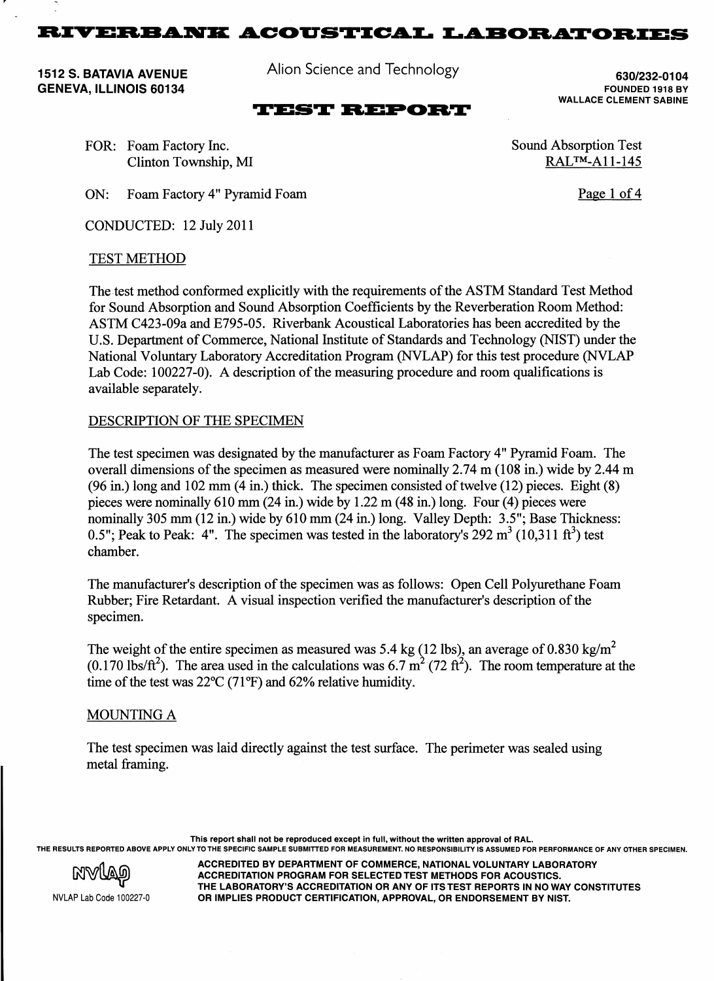${\bf RIVERBANK\ ACOUSTICAL \ LABORATORIES}$ 

1512 S. BATAVIA AVENUE GENEVA, ILLINOIS 60134

Alion Science and Technology

## **7(67 REPORT**

630/232-01 04 FOUNDED 1918 BY WALLACE CLEMENT SABINE

FOR: Foam Factory Inc. Clinton Township, MI

ON: Foam Factory 4" Pyramid Foam

CONDUCTED: 12 July 2011

#### TEST METHOD

The test method conformed explicitly with the requirements of the ASTM Standard Test Method for Sound Absorption and Sound Absorption Coefficients by the Reverberation Room Method: ASTM C423-09a and E795-05. Riverbank Acoustical Laboratories has been accredited by the U.S. Department of Commerce, National Institute of Standards and Technology (NIST) under the National Voluntary Laboratory Accreditation Program (NVLAP) for this test procedure (NVLAP Lab Code: 100227-0). A description of the measuring procedure and room qualifications is available separately.

#### DESCRIPTION OF THE SPECIMEN

The test specimen was designated by the manufacturer as Foam Factory 4" Pyramid Foam. The overall dimensions of the specimen as measured were nominally 2.74 m (108 in.) wide by 2.44 m  $(96 \text{ in.})$  long and  $102 \text{ mm}$   $(4 \text{ in.})$  thick. The specimen consisted of twelve  $(12)$  pieces. Eight  $(8)$ pieces were nominally 610 mm (24 in.) wide by 1.22 m (48 in.) long. Four (4) pieces were nominally 305 mm (12 in.) wide by 610 mm (24 in.) long. Valley Depth: 3.5"; Base Thickness: 0.5"; Peak to Peak: 4". The specimen was tested in the laboratory's 292  $m^3$  (10,311 ft<sup>3</sup>) test chamber.

The manufacturer's description of the specimen was as follows: Open Cell Polyurethane Foam Rubber; Fire Retardant. A visual inspection verified the manufacturer's description of the specimen.

The weight of the entire specimen as measured was 5.4 kg (12 lbs), an average of 0.830 kg/m<sup>2</sup> (0.170 lbs/ $\text{ft}^2$ ). The area used in the calculations was 6.7 m<sup>2</sup> (72 ft<sup>2</sup>). The room temperature at the time of the test was  $22^{\circ}C(71^{\circ}F)$  and 62% relative humidity.

### MOUNTING A

The test specimen was laid directly against the test surface. The perimeter was sealed using metal framing.

This report shall not be reproduced except in full, without the written approval of RAL. THE RESULTS REPORTED ABOVE APPLY ONLY TO THE SPECIFIC SAMPLE SUBMITTED FOR MEASUREMENT. NO RESPONSIBILITY IS ASSUMED FOR PERFORMANCE OF ANY OTHER SPECIMEN.

> ACCREDITED BY DEPARTMENT OF COMMERCE, NATIONAL VOLUNTARY LABORATORY ACCREDITATION PROGRAM FOR SELECTED TEST METHODS FOR ACOUSTICS. THE LABORATORY'S ACCREDITATION OR ANY OF ITS TEST REPORTS IN NO WAY CONSTITUTES OR IMPLIES PRODUCT CERTIFICATION, APPROVAL, OR ENDORSEMENT BY NIST.



NVLAP Lab Code 100227-0

Sound Absorption Test RAL™-A11-145

Page 1 of 4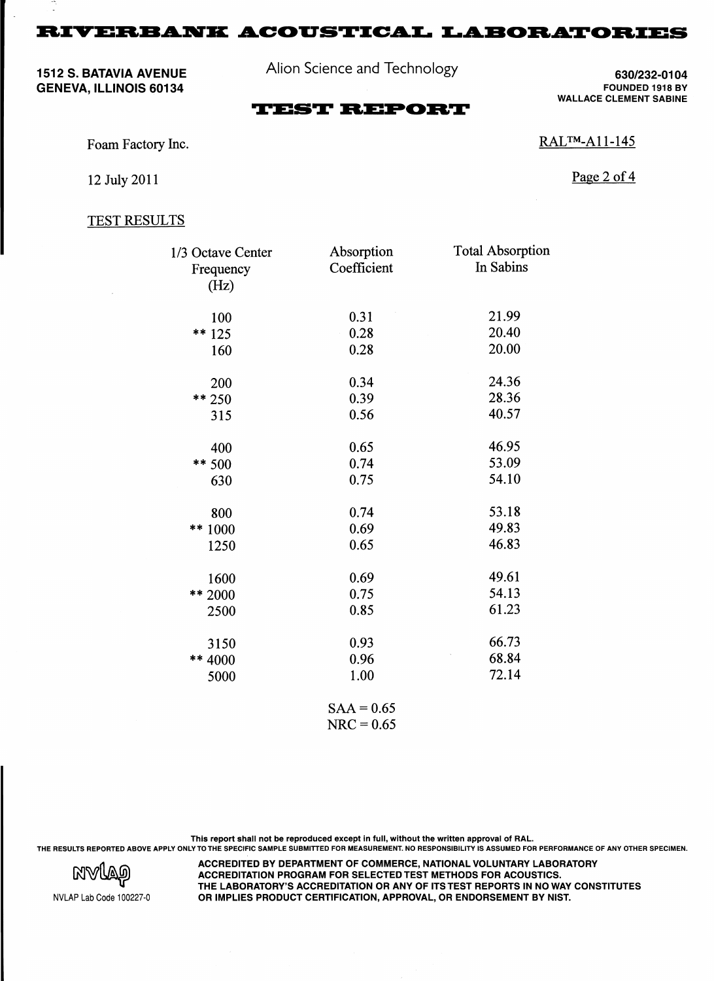$\bf RIVERBANK$   $\bf ACOUSTICAL$   $\bf LABORATORIES$ 

1512 S. BATAVIA AVENUE GENEVA, ILLINOIS 60134

Alion Science and Technology

630/232-01 04 FOUNDED 1918 BY WALLACE CLEMENT SABINE

# **TEST REPORT**

Foam Factory Inc.

RAL™-A11-145

12 July 2011

Page 2 of 4

### TEST RESULTS

| 1/3 Octave Center | Absorption          | <b>Total Absorption</b> |
|-------------------|---------------------|-------------------------|
| Frequency         | Coefficient         | In Sabins               |
| (Hz)              |                     |                         |
| 100               | 0.31                | 21.99                   |
| ** $125$          | 0.28                | 20.40                   |
| 160               | 0.28                | 20.00                   |
| 200               | 0.34                | 24.36                   |
| $** 250$          | 0.39                | 28.36                   |
| 315               | 0.56                | 40.57                   |
| 400               | 0.65                | 46.95                   |
| ** 500            | 0.74                | 53.09                   |
| 630               | 0.75                | 54.10                   |
| 800               | 0.74                | 53.18                   |
| 1000<br>$***$     | 0.69                | 49.83                   |
| 1250              | 0.65                | 46.83                   |
| 1600              | 0.69                | 49.61                   |
| ** 2000           | 0.75                | 54.13                   |
| 2500              | 0.85                | 61.23                   |
| 3150              | 0.93                | 66.73                   |
| ** 4000           | 0.96                | 68.84                   |
| 5000              | 1.00                | 72.14                   |
|                   | $C \wedge A - 0.65$ |                         |

 $SAA = 0.65$  $NRC = 0.65$ 

This report shall not be reproduced except in full, without the written approval of RAL. THE RESULTS REPORTED ABOVE APPLY ONLY TO THE SPECIFIC SAMPLE SUBMITTED FOR MEASUREMENT. NO RESPONSIBILITY IS ASSUMED FOR PERFORMANCE OF ANY OTHER SPECIMEN.



ACCREDITED BY DEPARTMENT OF COMMERCE, NATIONAL VOLUNTARY LABORATORY ACCREDITATION PROGRAM FOR SELECTED TEST METHODS FOR ACOUSTICS. THE LABORATORY'S ACCREDITATION OR ANY OF ITS TEST REPORTS IN NO WAY CONSTITUTES OR IMPLIES PRODUCT CERTIFICATION, APPROVAL, OR ENDORSEMENT BY NIST.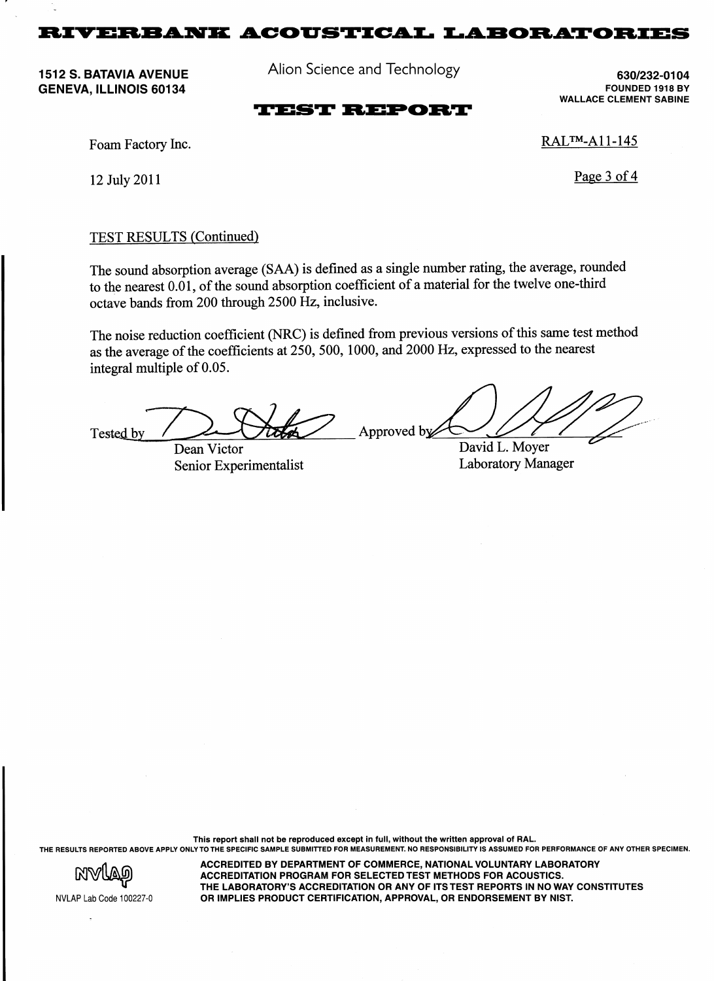**5,9(5%\$1. \$&2867,&\$/ /\$%25\$725,(6**

1512 S. BATAVIA AVENUE GENEVA, ILLINOIS 60134

Alion Science and Technology

630/232-01 04 FOUNDED 1918 BY WALLACE CLEMENT SABINE

## **TEST REPORT**

Foam Factory Inc.

12 July 2011

RAL™-All-145

Page 3 of 4

### TEST RESULTS (Continued)

The sound absorption average (SAA) is defined as a single number rating, the average, rounded to the nearest 0.01, of the sound absorption coefficient of a material for the twelve one-third octave bands from 200 through 2500 Hz, inclusive.

The noise reduction coefficient (NRC) is defined from previous versions of this same test method as the average of the coefficients at 250, 500, 1000, and 2000 Hz, expressed to the nearest integral multiple of 0.05.

Approved by Tested by David L. Moyer Dean Victor

Senior Experimentalist

Laboratory Manager

This report shall not be reproduced except in full, without the written approval of RAL. THE RESULTS REPORTED ABOVE APPLY ONLY TO THE SPECIFIC SAMPLE SUBMITTED FOR MEASUREMENT. NO RESPONSIBILITY IS ASSUMED FOR PERFORMANCE OF ANY OTHER SPECIMEN.



ACCREDITED BY DEPARTMENT OF COMMERCE, NATIONAL VOLUNTARY LABORATORY ACCREDITATION PROGRAM FOR SELECTED TEST METHODS FOR ACOUSTICS. THE LABORATORY'S ACCREDITATION OR ANY OF ITS TEST REPORTS IN NO WAY CONSTITUTES OR IMPLIES PRODUCT CERTIFICATION, APPROVAL, OR ENDORSEMENT BY NIST.